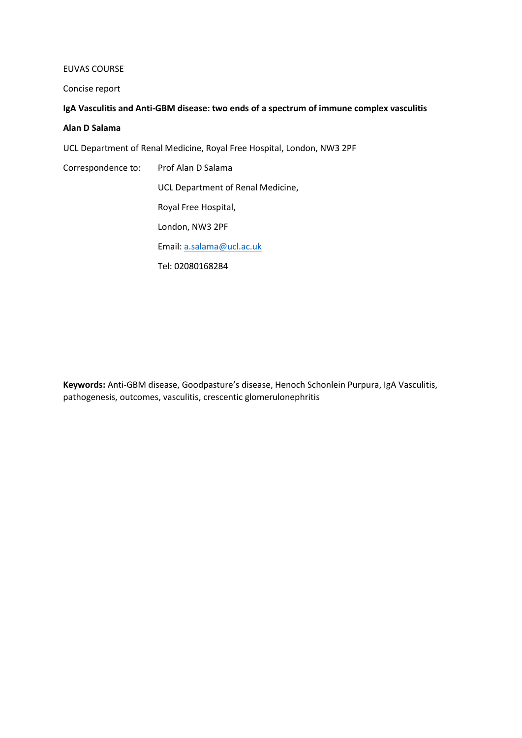#### EUVAS COURSE

Concise report

## **IgA Vasculitis and Anti-GBM disease: two ends of a spectrum of immune complex vasculitis**

#### **Alan D Salama**

UCL Department of Renal Medicine, Royal Free Hospital, London, NW3 2PF

Correspondence to: Prof Alan D Salama

UCL Department of Renal Medicine,

Royal Free Hospital,

London, NW3 2PF

Email: [a.salama@ucl.ac.uk](mailto:a.salama@ucl.ac.uk)

Tel: 02080168284

**Keywords:** Anti-GBM disease, Goodpasture's disease, Henoch Schonlein Purpura, IgA Vasculitis, pathogenesis, outcomes, vasculitis, crescentic glomerulonephritis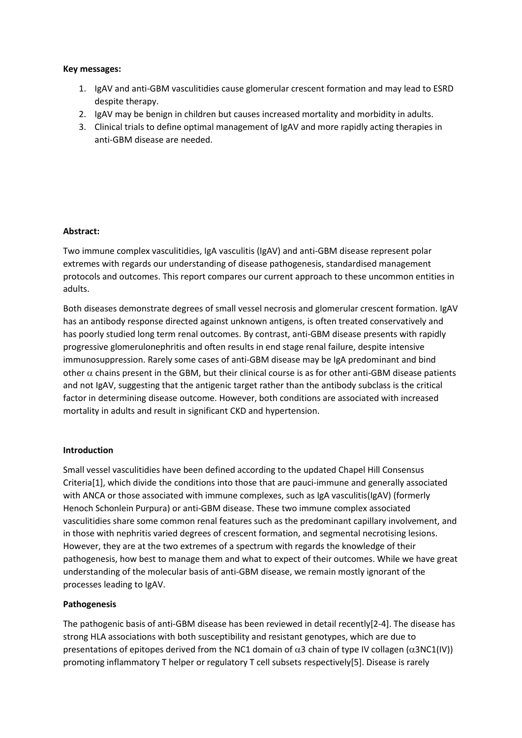### **Key messages:**

- 1. IgAV and anti-GBM vasculitidies cause glomerular crescent formation and may lead to ESRD despite therapy.
- 2. IgAV may be benign in children but causes increased mortality and morbidity in adults.
- 3. Clinical trials to define optimal management of IgAV and more rapidly acting therapies in anti-GBM disease are needed.

### **Abstract:**

Two immune complex vasculitidies, IgA vasculitis (IgAV) and anti-GBM disease represent polar extremes with regards our understanding of disease pathogenesis, standardised management protocols and outcomes. This report compares our current approach to these uncommon entities in adults.

Both diseases demonstrate degrees of small vessel necrosis and glomerular crescent formation. IgAV has an antibody response directed against unknown antigens, is often treated conservatively and has poorly studied long term renal outcomes. By contrast, anti-GBM disease presents with rapidly progressive glomerulonephritis and often results in end stage renal failure, despite intensive immunosuppression. Rarely some cases of anti-GBM disease may be IgA predominant and bind other  $\alpha$  chains present in the GBM, but their clinical course is as for other anti-GBM disease patients and not IgAV, suggesting that the antigenic target rather than the antibody subclass is the critical factor in determining disease outcome. However, both conditions are associated with increased mortality in adults and result in significant CKD and hypertension.

#### **Introduction**

Small vessel vasculitidies have been defined according to the updated Chapel Hill Consensus Criteria[1], which divide the conditions into those that are pauci-immune and generally associated with ANCA or those associated with immune complexes, such as IgA vasculitis(IgAV) (formerly Henoch Schonlein Purpura) or anti-GBM disease. These two immune complex associated vasculitidies share some common renal features such as the predominant capillary involvement, and in those with nephritis varied degrees of crescent formation, and segmental necrotising lesions. However, they are at the two extremes of a spectrum with regards the knowledge of their pathogenesis, how best to manage them and what to expect of their outcomes. While we have great understanding of the molecular basis of anti-GBM disease, we remain mostly ignorant of the processes leading to IgAV.

### **Pathogenesis**

The pathogenic basis of anti-GBM disease has been reviewed in detail recently[2-4]. The disease has strong HLA associations with both susceptibility and resistant genotypes, which are due to presentations of epitopes derived from the NC1 domain of  $\alpha$ 3 chain of type IV collagen ( $\alpha$ 3NC1(IV)) promoting inflammatory T helper or regulatory T cell subsets respectively[5]. Disease is rarely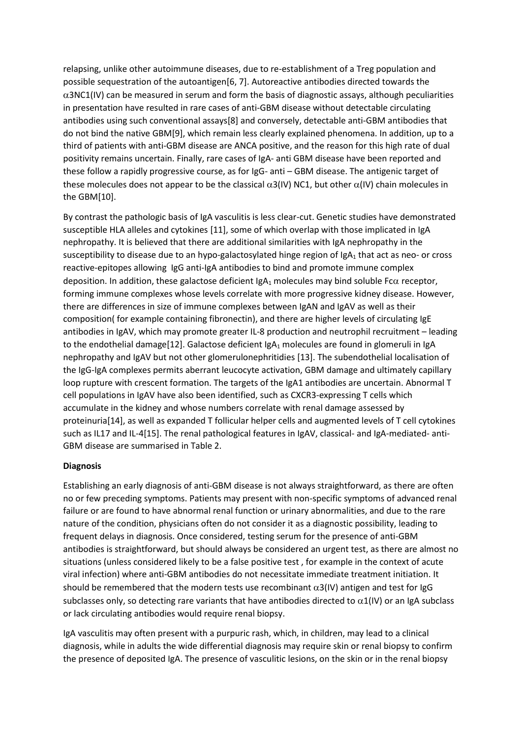relapsing, unlike other autoimmune diseases, due to re-establishment of a Treg population and possible sequestration of the autoantigen[6, 7]. Autoreactive antibodies directed towards the  $\alpha$ 3NC1(IV) can be measured in serum and form the basis of diagnostic assays, although peculiarities in presentation have resulted in rare cases of anti-GBM disease without detectable circulating antibodies using such conventional assays[8] and conversely, detectable anti-GBM antibodies that do not bind the native GBM[9], which remain less clearly explained phenomena. In addition, up to a third of patients with anti-GBM disease are ANCA positive, and the reason for this high rate of dual positivity remains uncertain. Finally, rare cases of IgA- anti GBM disease have been reported and these follow a rapidly progressive course, as for IgG- anti – GBM disease. The antigenic target of these molecules does not appear to be the classical  $\alpha$ 3(IV) NC1, but other  $\alpha$ (IV) chain molecules in the GBM[10].

By contrast the pathologic basis of IgA vasculitis is less clear-cut. Genetic studies have demonstrated susceptible HLA alleles and cytokines [11], some of which overlap with those implicated in IgA nephropathy. It is believed that there are additional similarities with IgA nephropathy in the susceptibility to disease due to an hypo-galactosylated hinge region of  $|gA_1|$  that act as neo- or cross reactive-epitopes allowing IgG anti-IgA antibodies to bind and promote immune complex deposition. In addition, these galactose deficient  $IgA_1$  molecules may bind soluble Fc $\alpha$  receptor, forming immune complexes whose levels correlate with more progressive kidney disease. However, there are differences in size of immune complexes between IgAN and IgAV as well as their composition( for example containing fibronectin), and there are higher levels of circulating IgE antibodies in IgAV, which may promote greater IL-8 production and neutrophil recruitment – leading to the endothelial damage[12]. Galactose deficient  $IgA_1$  molecules are found in glomeruli in IgA nephropathy and IgAV but not other glomerulonephritidies [13]. The subendothelial localisation of the IgG-IgA complexes permits aberrant leucocyte activation, GBM damage and ultimately capillary loop rupture with crescent formation. The targets of the IgA1 antibodies are uncertain. Abnormal T cell populations in IgAV have also been identified, such as CXCR3-expressing T cells which accumulate in the kidney and whose numbers correlate with renal damage assessed by proteinuria[14], as well as expanded T follicular helper cells and augmented levels of T cell cytokines such as IL17 and IL-4[15]. The renal pathological features in IgAV, classical- and IgA-mediated- anti-GBM disease are summarised in Table 2.

### **Diagnosis**

Establishing an early diagnosis of anti-GBM disease is not always straightforward, as there are often no or few preceding symptoms. Patients may present with non-specific symptoms of advanced renal failure or are found to have abnormal renal function or urinary abnormalities, and due to the rare nature of the condition, physicians often do not consider it as a diagnostic possibility, leading to frequent delays in diagnosis. Once considered, testing serum for the presence of anti-GBM antibodies is straightforward, but should always be considered an urgent test, as there are almost no situations (unless considered likely to be a false positive test , for example in the context of acute viral infection) where anti-GBM antibodies do not necessitate immediate treatment initiation. It should be remembered that the modern tests use recombinant  $\alpha$ 3(IV) antigen and test for IgG subclasses only, so detecting rare variants that have antibodies directed to  $\alpha$ 1(IV) or an IgA subclass or lack circulating antibodies would require renal biopsy.

IgA vasculitis may often present with a purpuric rash, which, in children, may lead to a clinical diagnosis, while in adults the wide differential diagnosis may require skin or renal biopsy to confirm the presence of deposited IgA. The presence of vasculitic lesions, on the skin or in the renal biopsy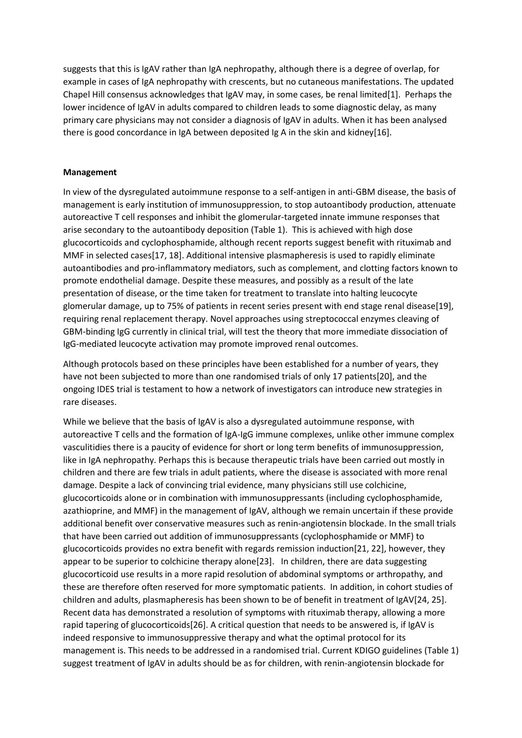suggests that this is IgAV rather than IgA nephropathy, although there is a degree of overlap, for example in cases of IgA nephropathy with crescents, but no cutaneous manifestations. The updated Chapel Hill consensus acknowledges that IgAV may, in some cases, be renal limited[1]. Perhaps the lower incidence of IgAV in adults compared to children leads to some diagnostic delay, as many primary care physicians may not consider a diagnosis of IgAV in adults. When it has been analysed there is good concordance in IgA between deposited Ig A in the skin and kidney[16].

#### **Management**

In view of the dysregulated autoimmune response to a self-antigen in anti-GBM disease, the basis of management is early institution of immunosuppression, to stop autoantibody production, attenuate autoreactive T cell responses and inhibit the glomerular-targeted innate immune responses that arise secondary to the autoantibody deposition (Table 1). This is achieved with high dose glucocorticoids and cyclophosphamide, although recent reports suggest benefit with rituximab and MMF in selected cases[17, 18]. Additional intensive plasmapheresis is used to rapidly eliminate autoantibodies and pro-inflammatory mediators, such as complement, and clotting factors known to promote endothelial damage. Despite these measures, and possibly as a result of the late presentation of disease, or the time taken for treatment to translate into halting leucocyte glomerular damage, up to 75% of patients in recent series present with end stage renal disease[19], requiring renal replacement therapy. Novel approaches using streptococcal enzymes cleaving of GBM-binding IgG currently in clinical trial, will test the theory that more immediate dissociation of IgG-mediated leucocyte activation may promote improved renal outcomes.

Although protocols based on these principles have been established for a number of years, they have not been subjected to more than one randomised trials of only 17 patients[20], and the ongoing IDES trial is testament to how a network of investigators can introduce new strategies in rare diseases.

While we believe that the basis of IgAV is also a dysregulated autoimmune response, with autoreactive T cells and the formation of IgA-IgG immune complexes, unlike other immune complex vasculitidies there is a paucity of evidence for short or long term benefits of immunosuppression, like in IgA nephropathy. Perhaps this is because therapeutic trials have been carried out mostly in children and there are few trials in adult patients, where the disease is associated with more renal damage. Despite a lack of convincing trial evidence, many physicians still use colchicine, glucocorticoids alone or in combination with immunosuppressants (including cyclophosphamide, azathioprine, and MMF) in the management of IgAV, although we remain uncertain if these provide additional benefit over conservative measures such as renin-angiotensin blockade. In the small trials that have been carried out addition of immunosuppressants (cyclophosphamide or MMF) to glucocorticoids provides no extra benefit with regards remission induction[21, 22], however, they appear to be superior to colchicine therapy alone[23]. In children, there are data suggesting glucocorticoid use results in a more rapid resolution of abdominal symptoms or arthropathy, and these are therefore often reserved for more symptomatic patients. In addition, in cohort studies of children and adults, plasmapheresis has been shown to be of benefit in treatment of IgAV[24, 25]. Recent data has demonstrated a resolution of symptoms with rituximab therapy, allowing a more rapid tapering of glucocorticoids[26]. A critical question that needs to be answered is, if IgAV is indeed responsive to immunosuppressive therapy and what the optimal protocol for its management is. This needs to be addressed in a randomised trial. Current KDIGO guidelines (Table 1) suggest treatment of IgAV in adults should be as for children, with renin-angiotensin blockade for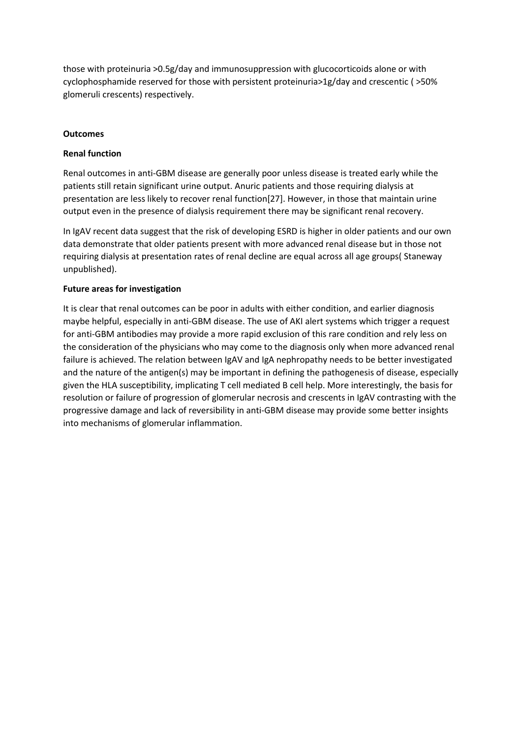those with proteinuria >0.5g/day and immunosuppression with glucocorticoids alone or with cyclophosphamide reserved for those with persistent proteinuria>1g/day and crescentic ( >50% glomeruli crescents) respectively.

## **Outcomes**

## **Renal function**

Renal outcomes in anti-GBM disease are generally poor unless disease is treated early while the patients still retain significant urine output. Anuric patients and those requiring dialysis at presentation are less likely to recover renal function[27]. However, in those that maintain urine output even in the presence of dialysis requirement there may be significant renal recovery.

In IgAV recent data suggest that the risk of developing ESRD is higher in older patients and our own data demonstrate that older patients present with more advanced renal disease but in those not requiring dialysis at presentation rates of renal decline are equal across all age groups( Staneway unpublished).

## **Future areas for investigation**

It is clear that renal outcomes can be poor in adults with either condition, and earlier diagnosis maybe helpful, especially in anti-GBM disease. The use of AKI alert systems which trigger a request for anti-GBM antibodies may provide a more rapid exclusion of this rare condition and rely less on the consideration of the physicians who may come to the diagnosis only when more advanced renal failure is achieved. The relation between IgAV and IgA nephropathy needs to be better investigated and the nature of the antigen(s) may be important in defining the pathogenesis of disease, especially given the HLA susceptibility, implicating T cell mediated B cell help. More interestingly, the basis for resolution or failure of progression of glomerular necrosis and crescents in IgAV contrasting with the progressive damage and lack of reversibility in anti-GBM disease may provide some better insights into mechanisms of glomerular inflammation.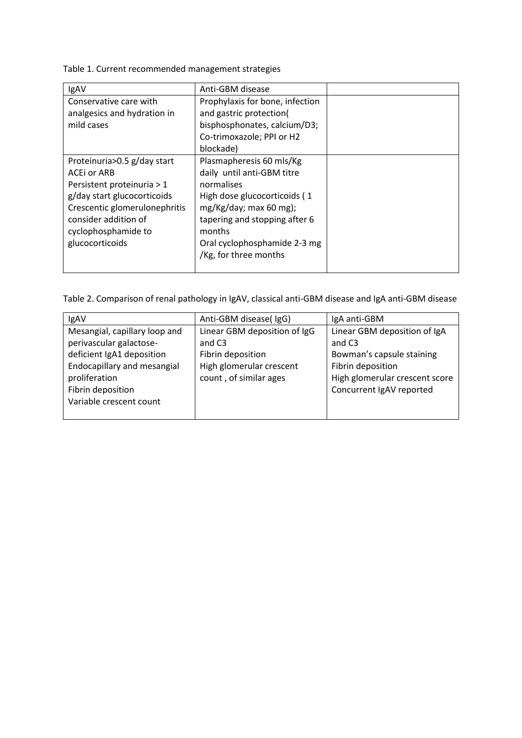Table 1. Current recommended management strategies

| IgAV                          | Anti-GBM disease                |  |
|-------------------------------|---------------------------------|--|
| Conservative care with        | Prophylaxis for bone, infection |  |
| analgesics and hydration in   | and gastric protection(         |  |
| mild cases                    | bisphosphonates, calcium/D3;    |  |
|                               | Co-trimoxazole; PPI or H2       |  |
|                               | blockade)                       |  |
| Proteinuria>0.5 g/day start   | Plasmapheresis 60 mls/Kg        |  |
| ACEI or ARB                   | daily until anti-GBM titre      |  |
| Persistent proteinuria > 1    | normalises                      |  |
| g/day start glucocorticoids   | High dose glucocorticoids (1    |  |
| Crescentic glomerulonephritis | $mg/Kg/day$ ; max 60 mg);       |  |
| consider addition of          | tapering and stopping after 6   |  |
| cyclophosphamide to           | months                          |  |
| glucocorticoids               | Oral cyclophosphamide 2-3 mg    |  |
|                               | /Kg, for three months           |  |
|                               |                                 |  |

Table 2. Comparison of renal pathology in IgAV, classical anti-GBM disease and IgA anti-GBM disease

| IgAV                          | Anti-GBM disease(IgG)        | IgA anti-GBM                   |
|-------------------------------|------------------------------|--------------------------------|
| Mesangial, capillary loop and | Linear GBM deposition of IgG | Linear GBM deposition of IgA   |
| perivascular galactose-       | and C <sub>3</sub>           | and C <sub>3</sub>             |
| deficient IgA1 deposition     | Fibrin deposition            | Bowman's capsule staining      |
| Endocapillary and mesangial   | High glomerular crescent     | Fibrin deposition              |
| proliferation                 | count, of similar ages       | High glomerular crescent score |
| Fibrin deposition             |                              | Concurrent IgAV reported       |
| Variable crescent count       |                              |                                |
|                               |                              |                                |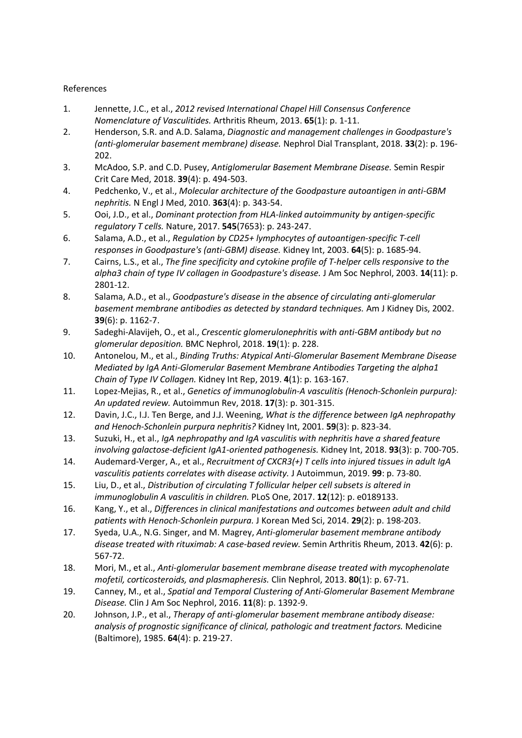# References

- 1. Jennette, J.C., et al., *2012 revised International Chapel Hill Consensus Conference Nomenclature of Vasculitides.* Arthritis Rheum, 2013. **65**(1): p. 1-11.
- 2. Henderson, S.R. and A.D. Salama, *Diagnostic and management challenges in Goodpasture's (anti-glomerular basement membrane) disease.* Nephrol Dial Transplant, 2018. **33**(2): p. 196- 202.
- 3. McAdoo, S.P. and C.D. Pusey, *Antiglomerular Basement Membrane Disease.* Semin Respir Crit Care Med, 2018. **39**(4): p. 494-503.
- 4. Pedchenko, V., et al., *Molecular architecture of the Goodpasture autoantigen in anti-GBM nephritis.* N Engl J Med, 2010. **363**(4): p. 343-54.
- 5. Ooi, J.D., et al., *Dominant protection from HLA-linked autoimmunity by antigen-specific regulatory T cells.* Nature, 2017. **545**(7653): p. 243-247.
- 6. Salama, A.D., et al., *Regulation by CD25+ lymphocytes of autoantigen-specific T-cell responses in Goodpasture's (anti-GBM) disease.* Kidney Int, 2003. **64**(5): p. 1685-94.
- 7. Cairns, L.S., et al., *The fine specificity and cytokine profile of T-helper cells responsive to the alpha3 chain of type IV collagen in Goodpasture's disease.* J Am Soc Nephrol, 2003. **14**(11): p. 2801-12.
- 8. Salama, A.D., et al., *Goodpasture's disease in the absence of circulating anti-glomerular basement membrane antibodies as detected by standard techniques.* Am J Kidney Dis, 2002. **39**(6): p. 1162-7.
- 9. Sadeghi-Alavijeh, O., et al., *Crescentic glomerulonephritis with anti-GBM antibody but no glomerular deposition.* BMC Nephrol, 2018. **19**(1): p. 228.
- 10. Antonelou, M., et al., *Binding Truths: Atypical Anti-Glomerular Basement Membrane Disease Mediated by IgA Anti-Glomerular Basement Membrane Antibodies Targeting the alpha1 Chain of Type IV Collagen.* Kidney Int Rep, 2019. **4**(1): p. 163-167.
- 11. Lopez-Mejias, R., et al., *Genetics of immunoglobulin-A vasculitis (Henoch-Schonlein purpura): An updated review.* Autoimmun Rev, 2018. **17**(3): p. 301-315.
- 12. Davin, J.C., I.J. Ten Berge, and J.J. Weening, *What is the difference between IgA nephropathy and Henoch-Schonlein purpura nephritis?* Kidney Int, 2001. **59**(3): p. 823-34.
- 13. Suzuki, H., et al., *IgA nephropathy and IgA vasculitis with nephritis have a shared feature involving galactose-deficient IgA1-oriented pathogenesis.* Kidney Int, 2018. **93**(3): p. 700-705.
- 14. Audemard-Verger, A., et al., *Recruitment of CXCR3(+) T cells into injured tissues in adult IgA vasculitis patients correlates with disease activity.* J Autoimmun, 2019. **99**: p. 73-80.
- 15. Liu, D., et al., *Distribution of circulating T follicular helper cell subsets is altered in immunoglobulin A vasculitis in children.* PLoS One, 2017. **12**(12): p. e0189133.
- 16. Kang, Y., et al., *Differences in clinical manifestations and outcomes between adult and child patients with Henoch-Schonlein purpura.* J Korean Med Sci, 2014. **29**(2): p. 198-203.
- 17. Syeda, U.A., N.G. Singer, and M. Magrey, *Anti-glomerular basement membrane antibody disease treated with rituximab: A case-based review.* Semin Arthritis Rheum, 2013. **42**(6): p. 567-72.
- 18. Mori, M., et al., *Anti-glomerular basement membrane disease treated with mycophenolate mofetil, corticosteroids, and plasmapheresis.* Clin Nephrol, 2013. **80**(1): p. 67-71.
- 19. Canney, M., et al., *Spatial and Temporal Clustering of Anti-Glomerular Basement Membrane Disease.* Clin J Am Soc Nephrol, 2016. **11**(8): p. 1392-9.
- 20. Johnson, J.P., et al., *Therapy of anti-glomerular basement membrane antibody disease: analysis of prognostic significance of clinical, pathologic and treatment factors.* Medicine (Baltimore), 1985. **64**(4): p. 219-27.